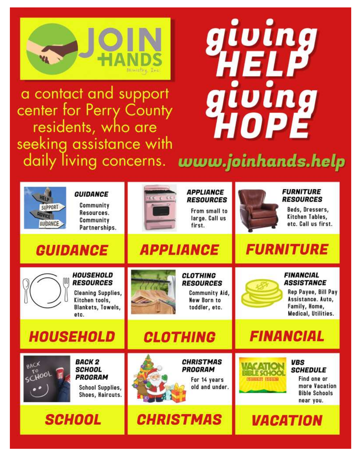

a contact and support center for Perry County residents, who are seeking assistance with

# giving HELP giving HOPÉ

daily living concerns. www.joinhands.help

| <b>GUIDANCE</b><br><b>HELD</b><br>Community<br>SUPPORT<br>Resources.<br><b>ADVICE</b><br>Community<br>GUIDANCE<br>Partnerships. | <b>APPLIANCE</b><br>10 2 3 3 4<br><b>RESOURCES</b><br>From small to<br>large. Call us<br>first. | <b>FURNITURE</b><br><b>RESOURCES</b><br>Beds, Dressers,<br>Kitchen Tables,<br>etc. Call us first.                           |
|---------------------------------------------------------------------------------------------------------------------------------|-------------------------------------------------------------------------------------------------|-----------------------------------------------------------------------------------------------------------------------------|
| <b>GUIDANCE</b>                                                                                                                 | <b>APPLIANCE</b>                                                                                | <b>FURNITURE</b>                                                                                                            |
| <b>HOUSEHOLD</b><br><b>RESOURCES</b><br><b>Cleaning Supplies,</b><br>Kitchen tools,<br><b>Blankets, Towels,</b><br>etc.         | <b>CLOTHING</b><br><b>RESOURCES</b><br>Community Aid,<br>New Born to<br>toddler, etc.           | <b>FINANCIAL</b><br><b>ASSISTANCE</b><br>Rep Payee, Bill Pay<br>Assistance. Auto,<br>Family, Home,<br>Medical, Utilities.   |
| <b>HOUSEHOLD</b>                                                                                                                | <b>CLOTHING</b>                                                                                 | <b>FINANCIAL</b>                                                                                                            |
| <b>BACK 2</b><br>BACK<br><b>SCHOOL</b><br>SCHOO<br><b>PROGRAM</b><br><b>School Supplies,</b><br>Shoes, Haircuts.                | <b>CHRISTMAS</b><br><b>PROGRAM</b><br>For 14 years<br>old and under.                            | <b>VBS</b><br><b>SCHEDULE</b><br>Find one or<br><b>Computer Sours</b><br>more Vacation<br><b>Bible Schools</b><br>near you. |
| <b>SCHOOL</b>                                                                                                                   | <b>CHRISTMAS</b>                                                                                | <b><i>VACATION</i></b>                                                                                                      |